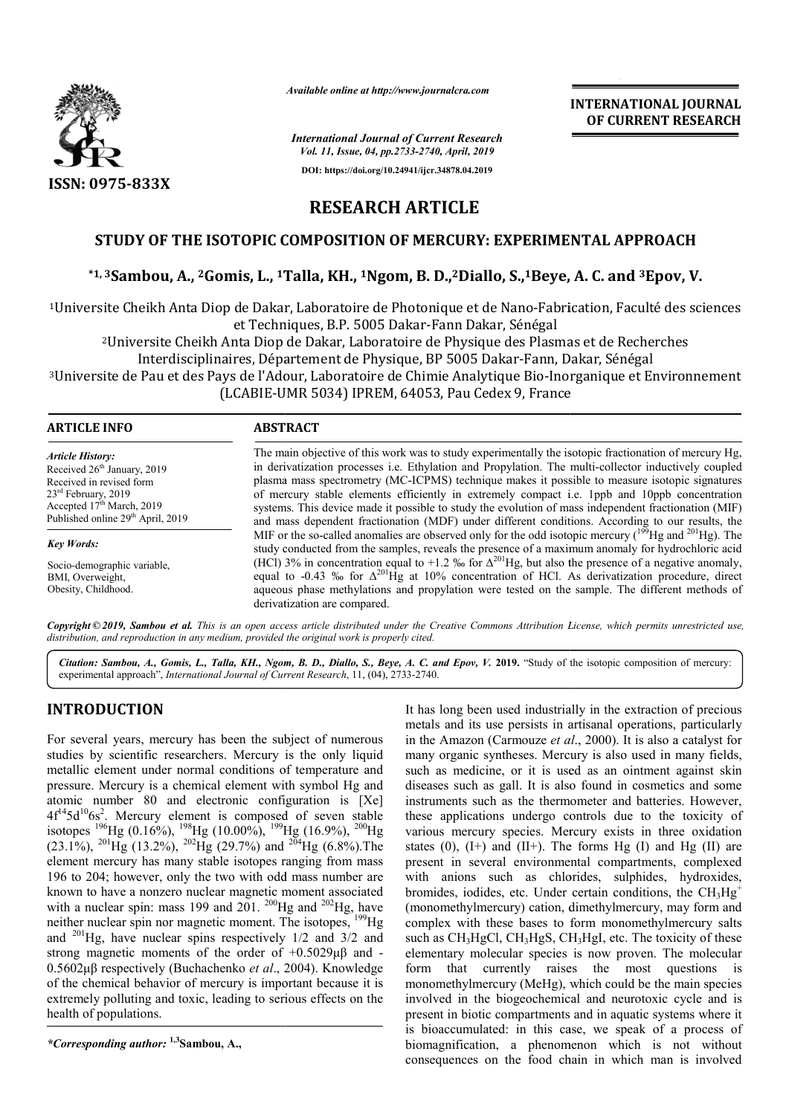

*Available online at http://www.journalcra.com*

*International Journal of Current Research Vol. 11, Issue, 04, pp.2733-2740, April, 2019*

**DOI: https://doi.org/10.24941/ijcr.34878.04.2019**

**INTERNATIONAL JOURNAL OF CURRENT RESEARCH**

# **RESEARCH ARTICLE**

## **STUDY OF THE ISOTOPIC COMPOSITION OF MERCURY: EXPERIMENTAL APPROACH OF THE ISOTOPIC OF MERCURY: EXPERIMENTAL**

## \*1,3Sambou, A., <sup>2</sup>Gomis, L., <sup>1</sup>Talla, KH., <sup>1</sup>Ngom, B. D.,<sup>2</sup>Diallo, S.,<sup>1</sup>Beye, A. C. and <sup>3</sup>Epov, V.

<sup>1</sup>Universite Cheikh Anta Diop de Dakar, Laboratoire de Photonique et de Nano-Fabrication, Faculté des sciences et Techniques, B.P. 5005 Dakar Dakar-Fann Dakar, Sénégal

2Universite Cheikh Anta Diop de Dakar, Laboratoire de Physique des Plasmas et de Recherches

Universite Cheikh Anta Diop de Dakar, Laboratoire de Physique des Plasmas et de Reche<br>Interdisciplinaires, Département de Physique, BP 5005 Dakar-Fann, Dakar, Sénégal

3Universite de Pau et des Pays de l'Adour, Laboratoire de Chimie Analytique Bio Bio-Inorganique et Environnement (LCABIE-UMR 5034) IPREM, 64053, Pau Cedex 9, France UMR Diop de Dakar, Laboratoire de Physique des Plasmas et de R<br>, Département de Physique, BP 5005 Dakar-Fann, Dakar, Sén<br>: l'Adour, Laboratoire de Chimie Analytique Bio-Inorganique<br>BIE-UMR 5034) IPREM, 64053, Pau Cedex 9, Fran

| <b>ARTICLE INFO</b> |  |
|---------------------|--|
|---------------------|--|

#### **ABSTRACT**

*Article History:* Received 26<sup>th</sup> January, 2019 Received in revised form 23rd February, 2019 Accepted 17<sup>th</sup> March, 2019 Published online  $29<sup>th</sup>$  April, 2019

*Key Words:* Socio-demographic variable, **BMI**, Overweight

Obesity, Childhood.

The main objective of this work was to study experimentally the isotopic fractionation of mercury Hg, in derivatization processes i.e. Ethylation and Propylation. The multi-collector inductively coupled plasma mass spectrometry (MC (MC-ICPMS) technique makes it possible to measure isotopic signatures of mercury stable elements effi efficiently in extremely compact i.e. 1ppb and 10ppb concentration systems. This device made it possible to study the evolution of mass independent fractionation (MIF) plasma mass spectrometry (MC-ICPMS) technique makes it possible to measure isotopic signatures of mercury stable elements efficiently in extremely compact i.e. 1ppb and 10ppb concentration systems. This device made it poss MIF or the so-called anomalies are observed only for the odd isotopic mercury ( $^{199}$ Hg and  $^{201}$ Hg). The study conducted from the samples, reveals the presence of a maximum anomaly for hydrochloric acid (HCl) 3% in concentration equal to +1.2 % for  $\Delta$ equal to aqueous phase methylations and propylation were tested on the sample. The different methods of derivatization are compared.  $\Delta^{201}$ Hg, but also the presence of a negative anomaly, -0.43 % for  $\Delta^{201}$ Hg at 10% concentration of HCl. As derivatization procedure, direct study conducted from the samples, reveals the presence of a maximum anomaly for hydrochloric acid (HCl) 3% in concentration equal to +1.2 % for  $\Delta^{201}$ Hg, but also the presence of a negative anomaly, equal to -0.43 % fo

Copyright © 2019, Sambou et al. This is an open access article distributed under the Creative Commons Attribution License, which permits unrestricted use, *distribution, and reproduction in any medium, provided the original work is properly cited.*

Citation: Sambou, A., Gomis, L., Talla, KH., Ngom, B. D., Diallo, S., Beye, A. C. and Epov, V. 2019. "Study of the isotopic composition of mercury: experimental approach", *International Journal of Current Research*, 11, (04), 2733-2740.

### **INTRODUCTION**

For several years, mercury has been the subject of numerous studies by scientific researchers. Mercury is the only liquid metallic element under normal conditions of temperature and pressure. Mercury is a chemical element with symbol Hg and atomic number 80 and electronic configuration is [Xe]  $4f^{14}5d^{10}6s^2$ . Mercury element is composed of seven stable isotopes <sup>196</sup>Hg (0.16%), <sup>198</sup>Hg (10.00%), <sup>199</sup>Hg (16.9%),  $(23.1\%)$ , <sup>201</sup>Hg (13.2%), <sup>202</sup>Hg (29.7%) and element mercury has many stable isotopes ranging from mass 196 to 204; however, only the two with odd mass number are known to have a nonzero nuclear magnetic moment associated with a nuclear spin: mass 199 and  $201$ . <sup>200</sup>Hg and <sup>202</sup>Hg, have neither nuclear spin nor magnetic moment. The isotopes, <sup>199</sup>Hg and 201Hg, have nuclear spins respectively 1/2 and 3/2 and and <sup>201</sup>Hg, have nuclear spins respectively  $1/2$  and  $3/2$  and strong magnetic moments of the order of  $+0.5029\mu\beta$  and -0.5602μβ respectively (Buchachenko *et al*., 2004). Knowledge of the chemical behavior of mercury is important because it is extremely polluting and toxic, leading to serious effects on the health of populations. Hg (16.9%),  $^{200}$ Hg Hg  $(29.7%)$  and <sup>204</sup>Hg  $(6.8%)$ . The

*\*Corresponding author:* **1,3Sambou, A.,**

It has long been used industrially in the extraction of precious metals and its use persists in artisanal operations, particularly metals and its use persists in artisanal operations, particularly<br>in the Amazon (Carmouze *et al.*, 2000). It is also a catalyst for many organic syntheses. Mercury is also used in many fields, such as medicine, or it is used as an ointment against skin diseases such as gall. It is also found in cosmetics and some instruments such as the thermometer and batteries. However, these applications undergo controls due to the toxicity of various mercury species. Mercury exists in three oxidation many organic syntheses. Mercury is also used in many fields, such as medicine, or it is used as an ointment against skin diseases such as gall. It is also found in cosmetics and some instruments such as the thermometer and present in several environmental compartments, complexed with anions such as chlorides, sulphides, hydroxides, bromides, iodides, etc. Under certain conditions, the  $\text{CH}_3\text{Hg}^+$ (monomethylmercury) cation, dimethylmercury, may form and complex with these bases to form monomethylmercury salts (monomethylmercury) cation, dimethylmercury, may form and complex with these bases to form monomethylmercury salts such as CH<sub>3</sub>HgCl, CH<sub>3</sub>HgS, CH<sub>3</sub>HgI, etc. The toxicity of these elementary molecular species is now proven. The molecular form that currently raises the most questions is monomethylmercury (MeHg), which could be the main species involved in the biogeochemical and neurotoxic cycle and is present in biotic compartments and in aquatic systems where it is bioaccumulated: in this case, we speak of a process of biomagnification, a phenomenon which is not without consequences on the food chain in which man is involved in several environmental compartments, complexed<br>hions such as chlorides, sulphides, hydroxides,<br>s, iodides, etc. Under certain conditions, the  $CH_3Hg^+$ form that currently raises the most questions is<br>monomethylmercury (MeHg), which could be the main species<br>involved in the biogeochemical and neurotoxic cycle and is<br>present in biotic compartments and in aquatic systems wh **INTERNATIONAL JOURNAL FORM SEAL CONSERVATION CONSERVATION CONSERVATION CONSERVATION CONSERVATION CONSERVATION CONSERVATION (ASSEEM)**<br> **ARTICLE CONSERVATION CONSERVATION CONSERVATION CONSERVATION CONSERVATION (A) D.** D.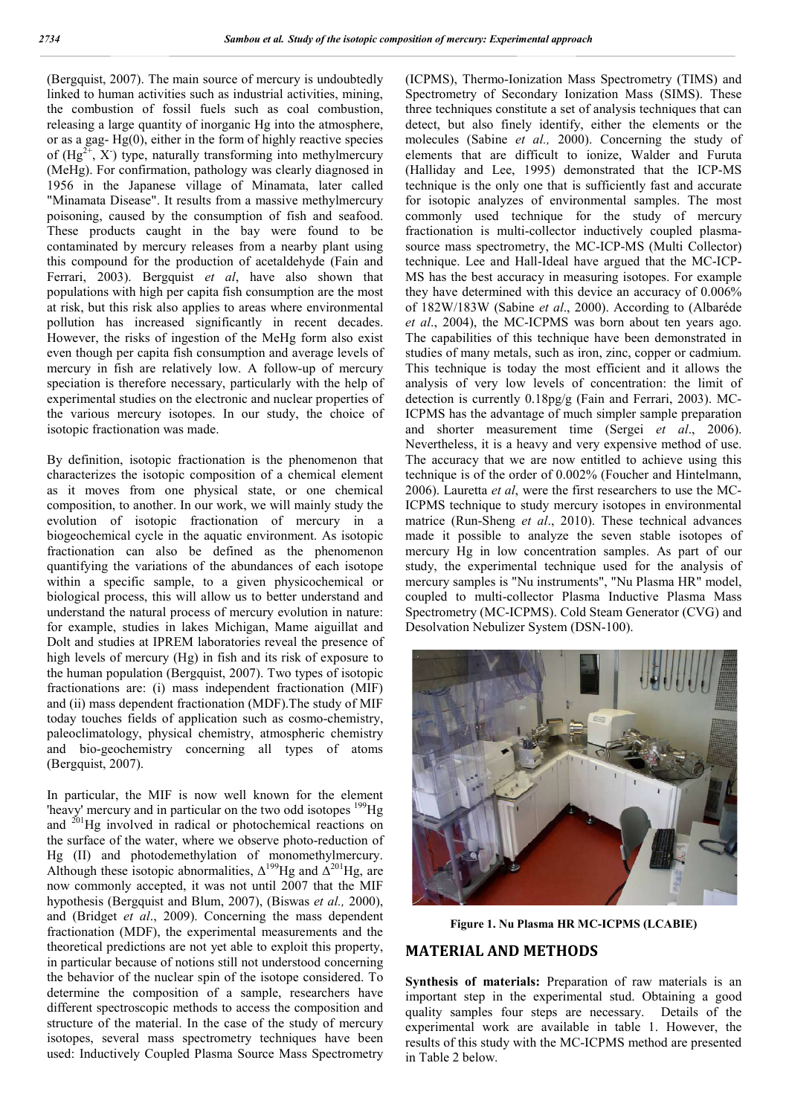(Bergquist, 2007). The main source of mercury is undoubtedly linked to human activities such as industrial activities, mining, the combustion of fossil fuels such as coal combustion, releasing a large quantity of inorganic Hg into the atmosphere, or as a gag- $Hg(0)$ , either in the form of highly reactive species of  $(Hg^{2+}, X)$  type, naturally transforming into methylmercury (MeHg). For confirmation, pathology was clearly diagnosed in 1956 in the Japanese village of Minamata, later called "Minamata Disease". It results from a massive methylmercury poisoning, caused by the consumption of fish and seafood. These products caught in the bay were found to be contaminated by mercury releases from a nearby plant using this compound for the production of acetaldehyde (Fain and Ferrari, 2003). Bergquist *et al*, have also shown that populations with high per capita fish consumption are the most at risk, but this risk also applies to areas where environmental pollution has increased significantly in recent decades. However, the risks of ingestion of the MeHg form also exist even though per capita fish consumption and average levels of mercury in fish are relatively low. A follow-up of mercury speciation is therefore necessary, particularly with the help of experimental studies on the electronic and nuclear properties of the various mercury isotopes. In our study, the choice of isotopic fractionation was made.

By definition, isotopic fractionation is the phenomenon that characterizes the isotopic composition of a chemical element as it moves from one physical state, or one chemical composition, to another. In our work, we will mainly study the evolution of isotopic fractionation of mercury in a biogeochemical cycle in the aquatic environment. As isotopic fractionation can also be defined as the phenomenon quantifying the variations of the abundances of each isotope within a specific sample, to a given physicochemical or biological process, this will allow us to better understand and understand the natural process of mercury evolution in nature: for example, studies in lakes Michigan, Mame aiguillat and Dolt and studies at IPREM laboratories reveal the presence of high levels of mercury (Hg) in fish and its risk of exposure to the human population (Bergquist, 2007). Two types of isotopic fractionations are: (i) mass independent fractionation (MIF) and (ii) mass dependent fractionation (MDF).The study of MIF today touches fields of application such as cosmo-chemistry, paleoclimatology, physical chemistry, atmospheric chemistry and bio-geochemistry concerning all types of atoms (Bergquist, 2007).

In particular, the MIF is now well known for the element 'heavy' mercury and in particular on the two odd isotopes <sup>199</sup>Hg and  $^{201}$ Hg involved in radical or photochemical reactions on the surface of the water, where we observe photo-reduction of Hg (II) and photodemethylation of monomethylmercury. Although these isotopic abnormalities,  $\Delta^{199}$ Hg and  $\Delta^{201}$ Hg, are now commonly accepted, it was not until 2007 that the MIF hypothesis (Bergquist and Blum, 2007), (Biswas *et al.,* 2000), and (Bridget *et al*., 2009). Concerning the mass dependent fractionation (MDF), the experimental measurements and the theoretical predictions are not yet able to exploit this property, in particular because of notions still not understood concerning the behavior of the nuclear spin of the isotope considered. To determine the composition of a sample, researchers have different spectroscopic methods to access the composition and structure of the material. In the case of the study of mercury isotopes, several mass spectrometry techniques have been used: Inductively Coupled Plasma Source Mass Spectrometry (ICPMS), Thermo-Ionization Mass Spectrometry (TIMS) and Spectrometry of Secondary Ionization Mass (SIMS). These three techniques constitute a set of analysis techniques that can detect, but also finely identify, either the elements or the molecules (Sabine *et al.,* 2000). Concerning the study of elements that are difficult to ionize, Walder and Furuta (Halliday and Lee, 1995) demonstrated that the ICP-MS technique is the only one that is sufficiently fast and accurate for isotopic analyzes of environmental samples. The most commonly used technique for the study of mercury fractionation is multi-collector inductively coupled plasmasource mass spectrometry, the MC-ICP-MS (Multi Collector) technique. Lee and Hall-Ideal have argued that the MC-ICP-MS has the best accuracy in measuring isotopes. For example they have determined with this device an accuracy of 0.006% of 182W/183W (Sabine *et al*., 2000). According to (Albaréde *et al*., 2004), the MC-ICPMS was born about ten years ago. The capabilities of this technique have been demonstrated in studies of many metals, such as iron, zinc, copper or cadmium. This technique is today the most efficient and it allows the analysis of very low levels of concentration: the limit of detection is currently 0.18pg/g (Fain and Ferrari, 2003). MC-ICPMS has the advantage of much simpler sample preparation and shorter measurement time (Sergei *et al*., 2006). Nevertheless, it is a heavy and very expensive method of use. The accuracy that we are now entitled to achieve using this technique is of the order of 0.002% (Foucher and Hintelmann, 2006). Lauretta *et al*, were the first researchers to use the MC-ICPMS technique to study mercury isotopes in environmental matrice (Run-Sheng *et al*., 2010). These technical advances made it possible to analyze the seven stable isotopes of mercury Hg in low concentration samples. As part of our study, the experimental technique used for the analysis of mercury samples is "Nu instruments", "Nu Plasma HR" model, coupled to multi-collector Plasma Inductive Plasma Mass Spectrometry (MC-ICPMS). Cold Steam Generator (CVG) and Desolvation Nebulizer System (DSN-100).



**Figure 1. Nu Plasma HR MC-ICPMS (LCABIE)**

#### **MATERIAL AND METHODS**

**Synthesis of materials:** Preparation of raw materials is an important step in the experimental stud. Obtaining a good quality samples four steps are necessary. Details of the experimental work are available in table 1. However, the results of this study with the MC-ICPMS method are presented in Table 2 below.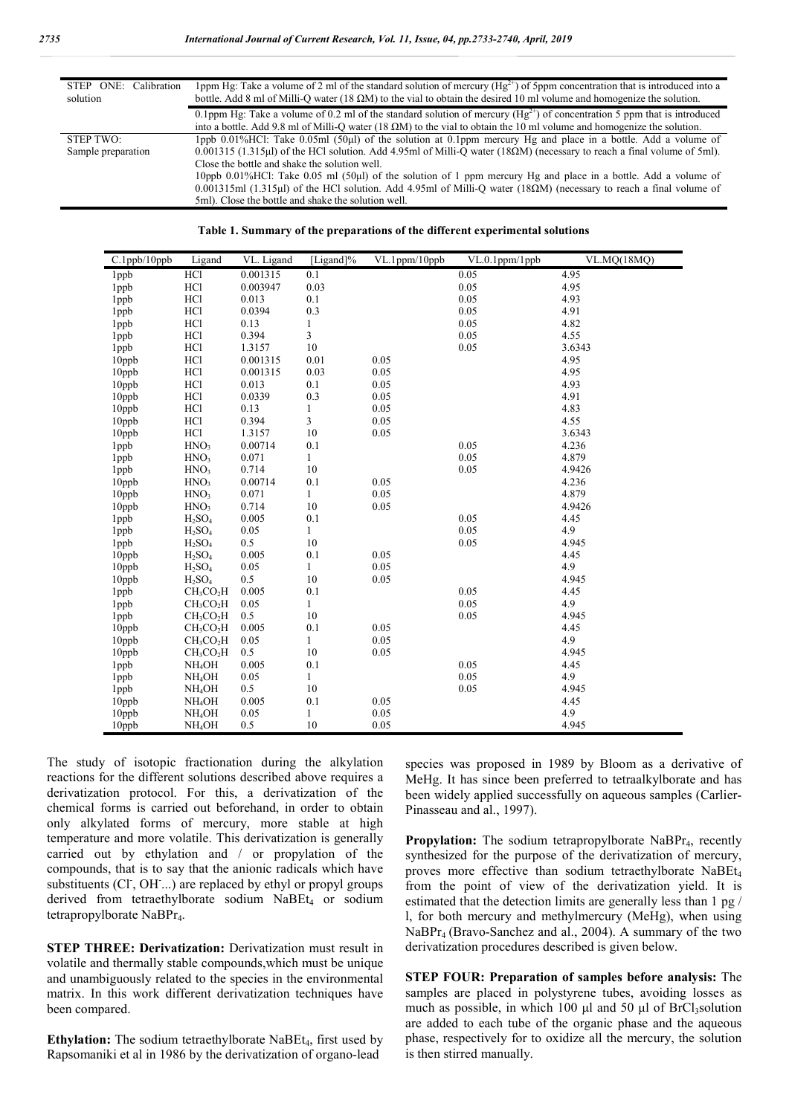| STEP ONE: Calibration<br>solution | 1 ppm Hg: Take a volume of 2 ml of the standard solution of mercury $(Hg^{2+})$ of 5 ppm concentration that is introduced into a<br>bottle. Add 8 ml of Milli-Q water (18 $\Omega$ M) to the vial to obtain the desired 10 ml volume and homogenize the solution. |
|-----------------------------------|-------------------------------------------------------------------------------------------------------------------------------------------------------------------------------------------------------------------------------------------------------------------|
|                                   | 0.1ppm Hg: Take a volume of 0.2 ml of the standard solution of mercury $(Hg^{2+})$ of concentration 5 ppm that is introduced                                                                                                                                      |
|                                   | into a bottle. Add 9.8 ml of Milli-O water (18 $\Omega$ M) to the vial to obtain the 10 ml volume and homogenize the solution.                                                                                                                                    |
| STEP TWO:                         | 1ppb $0.01\%$ HCl: Take $0.05$ ml (50µl) of the solution at 0.1ppm mercury Hg and place in a bottle. Add a volume of                                                                                                                                              |
| Sample preparation                | 0.001315 (1.315µ) of the HCl solution. Add 4.95ml of Milli-Q water (18 $\Omega$ M) (necessary to reach a final volume of 5ml).                                                                                                                                    |
|                                   | Close the bottle and shake the solution well.                                                                                                                                                                                                                     |
|                                   | 10ppb 0.01%HCl: Take 0.05 ml (50µl) of the solution of 1 ppm mercury Hg and place in a bottle. Add a volume of                                                                                                                                                    |
|                                   | 0.001315ml (1.315ul) of the HCl solution. Add 4.95ml of Milli-O water (18 $\Omega$ M) (necessary to reach a final volume of                                                                                                                                       |
|                                   | 5ml). Close the bottle and shake the solution well.                                                                                                                                                                                                               |

|  | Table 1. Summary of the preparations of the different experimental solutions |  |  |
|--|------------------------------------------------------------------------------|--|--|
|  |                                                                              |  |  |

| $C.1$ ppb/ $10$ ppb | Ligand                            | VL. Ligand | [Ligand]%    | VL.1ppm/10ppb | VL.0.1ppm/1ppb | <b>VL.MO(18MO)</b> |
|---------------------|-----------------------------------|------------|--------------|---------------|----------------|--------------------|
| 1ppb                | HCl                               | 0.001315   | 0.1          |               | 0.05           | 4.95               |
| 1ppb                | HC1                               | 0.003947   | 0.03         |               | 0.05           | 4.95               |
| 1ppb                | HC1                               | 0.013      | 0.1          |               | 0.05           | 4.93               |
| 1ppb                | HC1                               | 0.0394     | 0.3          |               | 0.05           | 4.91               |
| 1ppb                | HC <sub>1</sub>                   | 0.13       | 1            |               | 0.05           | 4.82               |
| 1ppb                | HC <sub>1</sub>                   | 0.394      | 3            |               | 0.05           | 4.55               |
| 1ppb                | HC1                               | 1.3157     | 10           |               | 0.05           | 3.6343             |
| $10$ ppb            | HC1                               | 0.001315   | 0.01         | 0.05          |                | 4.95               |
| 10ppb               | HC1                               | 0.001315   | 0.03         | 0.05          |                | 4.95               |
| 10ppb               | HC <sub>1</sub>                   | 0.013      | 0.1          | 0.05          |                | 4.93               |
| $10$ ppb            | <b>HCl</b>                        | 0.0339     | 0.3          | 0.05          |                | 4.91               |
| $10$ ppb            | HC1                               | 0.13       | $\mathbf{1}$ | 0.05          |                | 4.83               |
| 10ppb               | HC1                               | 0.394      | 3            | 0.05          |                | 4.55               |
| $10$ ppb            | HC <sub>1</sub>                   | 1.3157     | 10           | 0.05          |                | 3.6343             |
| 1ppb                | HNO <sub>3</sub>                  | 0.00714    | 0.1          |               | 0.05           | 4.236              |
| 1ppb                | HNO <sub>3</sub>                  | 0.071      | $\mathbf{1}$ |               | 0.05           | 4.879              |
| 1ppb                | HNO <sub>3</sub>                  | 0.714      | 10           |               | 0.05           | 4.9426             |
| $10$ ppb            | HNO <sub>3</sub>                  | 0.00714    | 0.1          | 0.05          |                | 4.236              |
| $10$ ppb            | HNO <sub>3</sub>                  | 0.071      | $\mathbf{1}$ | 0.05          |                | 4.879              |
| $10$ ppb            | HNO <sub>3</sub>                  | 0.714      | 10           | 0.05          |                | 4.9426             |
| 1ppb                | $H_2SO_4$                         | 0.005      | 0.1          |               | 0.05           | 4.45               |
| 1 <sub>ppb</sub>    | H <sub>2</sub> SO <sub>4</sub>    | 0.05       | $\mathbf{1}$ |               | 0.05           | 4.9                |
| 1ppb                | $H_2SO_4$                         | 0.5        | 10           |               | 0.05           | 4.945              |
| 10ppb               | H <sub>2</sub> SO <sub>4</sub>    | 0.005      | 0.1          | 0.05          |                | 4.45               |
| $10$ ppb            | H <sub>2</sub> SO <sub>4</sub>    | 0.05       | $\mathbf{1}$ | 0.05          |                | 4.9                |
| $10$ ppb            | H <sub>2</sub> SO <sub>4</sub>    | 0.5        | 10           | 0.05          |                | 4.945              |
| 1ppb                | CH <sub>3</sub> CO <sub>2</sub> H | 0.005      | 0.1          |               | 0.05           | 4.45               |
| 1ppb                | CH <sub>3</sub> CO <sub>2</sub> H | 0.05       | $\mathbf{1}$ |               | 0.05           | 4.9                |
| 1ppb                | CH <sub>3</sub> CO <sub>2</sub> H | 0.5        | 10           |               | 0.05           | 4.945              |
| $10$ ppb            | $CH_3CO2H$                        | 0.005      | 0.1          | 0.05          |                | 4.45               |
| $10$ ppb            | $CH_3CO_2H$                       | 0.05       | $\mathbf{1}$ | 0.05          |                | 4.9                |
| $10$ ppb            | CH <sub>3</sub> CO <sub>2</sub> H | 0.5        | 10           | 0.05          |                | 4.945              |
| 1ppb                | NH <sub>4</sub> OH                | 0.005      | 0.1          |               | 0.05           | 4.45               |
| 1ppb                | NH <sub>4</sub> OH                | 0.05       | $\mathbf{1}$ |               | 0.05           | 4.9                |
| 1ppb                | NH <sub>4</sub> OH                | 0.5        | 10           |               | 0.05           | 4.945              |
| $10$ ppb            | NH <sub>4</sub> OH                | 0.005      | 0.1          | 0.05          |                | 4.45               |
| 10ppb               | NH <sub>4</sub> OH                | 0.05       | $\mathbf{1}$ | 0.05          |                | 4.9                |
| 10ppb               | NH <sub>4</sub> OH                | 0.5        | 10           | 0.05          |                | 4.945              |

The study of isotopic fractionation during the alkylation reactions for the different solutions described above requires a derivatization protocol. For this, a derivatization of the chemical forms is carried out beforehand, in order to obtain only alkylated forms of mercury, more stable at high temperature and more volatile. This derivatization is generally carried out by ethylation and / or propylation of the compounds, that is to say that the anionic radicals which have substituents (Cl, OH ...) are replaced by ethyl or propyl groups derived from tetraethylborate sodium NaBEt4 or sodium tetrapropylborate NaBPr<sub>4</sub>.

**STEP THREE: Derivatization: Derivatization must result in** volatile and thermally stable compounds,which must be unique and unambiguously related to the species in the environmental matrix. In this work different derivatization techniques have been compared.

**Ethylation:** The sodium tetraethylborate NaBEt<sub>4</sub>, first used by Rapsomaniki et al in 1986 by the derivatization of organo-lead

species was proposed in 1989 by Bloom as a derivative of MeHg. It has since been preferred to tetraalkylborate and has been widely applied successfully on aqueous samples (Carlier-Pinasseau and al., 1997).

**Propylation:** The sodium tetrapropylborate NaBPr<sub>4</sub>, recently synthesized for the purpose of the derivatization of mercury, proves more effective than sodium tetraethylborate NaBEt<sub>4</sub> from the point of view of the derivatization yield. It is estimated that the detection limits are generally less than 1 pg / l, for both mercury and methylmercury (MeHg), when using NaBPr4 (Bravo-Sanchez and al., 2004). A summary of the two derivatization procedures described is given below.

**STEP FOUR: Preparation of samples before analysis:** The samples are placed in polystyrene tubes, avoiding losses as much as possible, in which 100  $\mu$ l and 50  $\mu$ l of BrCl<sub>3</sub>solution are added to each tube of the organic phase and the aqueous phase, respectively for to oxidize all the mercury, the solution is then stirred manually.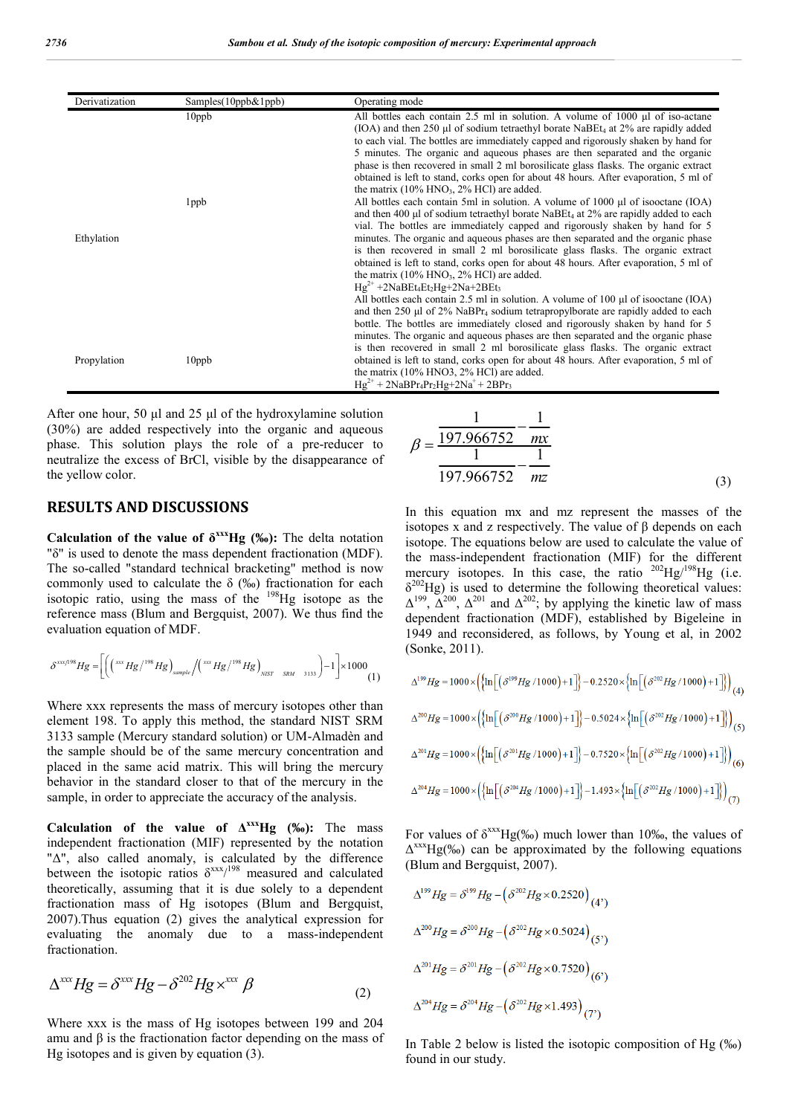| Derivatization | Samples(10ppb&1ppb) | Operating mode                                                                                                                                                                                                                                                                                                                                                                                                                                                                                                                                                                                                                                                                  |
|----------------|---------------------|---------------------------------------------------------------------------------------------------------------------------------------------------------------------------------------------------------------------------------------------------------------------------------------------------------------------------------------------------------------------------------------------------------------------------------------------------------------------------------------------------------------------------------------------------------------------------------------------------------------------------------------------------------------------------------|
|                | $10$ pp $b$         | All bottles each contain 2.5 ml in solution. A volume of $1000 \mu l$ of iso-actane<br>(IOA) and then 250 µl of sodium tetraethyl borate NaBEt <sub>4</sub> at 2% are rapidly added<br>to each vial. The bottles are immediately capped and rigorously shaken by hand for<br>5 minutes. The organic and aqueous phases are then separated and the organic<br>phase is then recovered in small 2 ml borosilicate glass flasks. The organic extract<br>obtained is left to stand, corks open for about 48 hours. After evaporation, 5 ml of<br>the matrix $(10\% \text{ HNO}_3, 2\% \text{ HCl})$ are added.                                                                      |
| Ethylation     | 1 <sub>ppb</sub>    | All bottles each contain 5ml in solution. A volume of 1000 µl of isooctane (IOA)<br>and then 400 µl of sodium tetraethyl borate NaBEt <sub>4</sub> at $2\%$ are rapidly added to each<br>vial. The bottles are immediately capped and rigorously shaken by hand for 5<br>minutes. The organic and aqueous phases are then separated and the organic phase<br>is then recovered in small 2 ml borosilicate glass flasks. The organic extract<br>obtained is left to stand, corks open for about 48 hours. After evaporation, 5 ml of<br>the matrix $(10\% \text{ HNO}_3, 2\% \text{ HCl})$ are added.<br>$Hg^{2+}$ +2NaBEt <sub>4</sub> Et <sub>2</sub> Hg+2Na+2BEt <sub>3</sub> |
| Propylation    | $10$ ppb            | All bottles each contain 2.5 ml in solution. A volume of 100 $\mu$ l of isooctane (IOA)<br>and then 250 $\mu$ l of 2% NaBPr <sub>4</sub> sodium tetrapropylborate are rapidly added to each<br>bottle. The bottles are immediately closed and rigorously shaken by hand for 5<br>minutes. The organic and aqueous phases are then separated and the organic phase<br>is then recovered in small 2 ml borosilicate glass flasks. The organic extract<br>obtained is left to stand, corks open for about 48 hours. After evaporation, 5 ml of<br>the matrix (10% HNO3, 2% HCl) are added.<br>$Hg^{2+} + 2NaBPr_4Pr_2Hg + 2Na^+ + 2BPr_3$                                          |

After one hour, 50 μl and 25 μl of the hydroxylamine solution (30%) are added respectively into the organic and aqueous phase. This solution plays the role of a pre-reducer to neutralize the excess of BrCl, visible by the disappearance of the yellow color.

### **RESULTS AND DISCUSSIONS**

**Calculation** of the value of  $\delta^{xx}Hg$  (‰): The delta notation "δ" is used to denote the mass dependent fractionation (MDF). The so-called "standard technical bracketing" method is now commonly used to calculate the  $\delta$  (‰) fractionation for each isotopic ratio, using the mass of the 198Hg isotope as the reference mass (Blum and Bergquist, 2007). We thus find the evaluation equation of MDF.

$$
\delta^{xxx/198}Hg = \left[\left(\left(\sqrt{100}Hg\right)/198}Hg\right)_{\text{sample}}/\left(\sqrt{100}Hg\right)/198}Hg\right)_{\text{NST} - SRM} - 3133\right) - 1\right] \times 1000
$$

Where xxx represents the mass of mercury isotopes other than element 198. To apply this method, the standard NIST SRM 3133 sample (Mercury standard solution) or UM-Almadèn and the sample should be of the same mercury concentration and placed in the same acid matrix. This will bring the mercury behavior in the standard closer to that of the mercury in the sample, in order to appreciate the accuracy of the analysis.

**Calculation of the value of ΔxxxHg (‰):** The mass independent fractionation (MIF) represented by the notation "Δ", also called anomaly, is calculated by the difference between the isotopic ratios  $\delta^{xxx/198}$  measured and calculated theoretically, assuming that it is due solely to a dependent fractionation mass of Hg isotopes (Blum and Bergquist, 2007).Thus equation (2) gives the analytical expression for evaluating the anomaly due to a mass-independent fractionation.

$$
\Delta^{xxx} Hg = \delta^{xxx} Hg - \delta^{202} Hg \times^{xxx} \beta
$$
\n(2)

Where xxx is the mass of Hg isotopes between 199 and 204 amu and β is the fractionation factor depending on the mass of Hg isotopes and is given by equation (3).

$$
\beta = \frac{\frac{1}{197.966752} - \frac{1}{mx}}{197.966752} - \frac{1}{mx}
$$
\n(3)

In this equation mx and mz represent the masses of the isotopes x and z respectively. The value of β depends on each isotope. The equations below are used to calculate the value of the mass-independent fractionation (MIF) for the different mercury isotopes. In this case, the ratio  $^{202}$ Hg/<sup>198</sup>Hg (i.e.  $\delta^{202}$ Hg) is used to determine the following theoretical values:  $\Delta^{199}$ ,  $\Delta^{200}$ ,  $\Delta^{201}$  and  $\Delta^{202}$ ; by applying the kinetic law of mass dependent fractionation (MDF), established by Bigeleine in 1949 and reconsidered, as follows, by Young et al, in 2002 (Sonke, 2011).

$$
\Delta^{199}Hg = 1000 \times \left( \left\{ \ln \left[ \left( \delta^{199}Hg / 1000 \right) + 1 \right] \right\} - 0.2520 \times \left\{ \ln \left[ \left( \delta^{202}Hg / 1000 \right) + 1 \right] \right\} \right)_{(4)}
$$
  

$$
\Delta^{200}Hg = 1000 \times \left( \left\{ \ln \left[ \left( \delta^{200}Hg / 1000 \right) + 1 \right] \right\} - 0.5024 \times \left\{ \ln \left[ \left( \delta^{202}Hg / 1000 \right) + 1 \right] \right\} \right)_{(5)}
$$
  

$$
\Delta^{201}Hg = 1000 \times \left( \left\{ \ln \left[ \left( \delta^{201}Hg / 1000 \right) + 1 \right] \right\} - 0.7520 \times \left\{ \ln \left[ \left( \delta^{202}Hg / 1000 \right) + 1 \right] \right\} \right)_{(6)}
$$
  

$$
\Delta^{204}Hg = 1000 \times \left( \left\{ \ln \left[ \left( \delta^{204}Hg / 1000 \right) + 1 \right] \right\} - 1.493 \times \left\{ \ln \left[ \left( \delta^{202}Hg / 1000 \right) + 1 \right] \right\} \right)_{(7)}
$$

For values of  $\delta^{xxx}Hg(\%_0)$  much lower than 10‰, the values of  $\Delta^{xxx}$ Hg(‰) can be approximated by the following equations (Blum and Bergquist, 2007).

$$
\Delta^{199} Hg = \delta^{199} Hg - (\delta^{202} Hg \times 0.2520)_{(4')}
$$
  

$$
\Delta^{200} Hg = \delta^{200} Hg - (\delta^{202} Hg \times 0.5024)_{(5')}
$$
  

$$
\Delta^{201} Hg = \delta^{201} Hg - (\delta^{202} Hg \times 0.7520)_{(6')}
$$
  

$$
\Delta^{204} Hg = \delta^{204} Hg - (\delta^{202} Hg \times 1.493)_{(7')}
$$

In Table 2 below is listed the isotopic composition of Hg (‰) found in our study.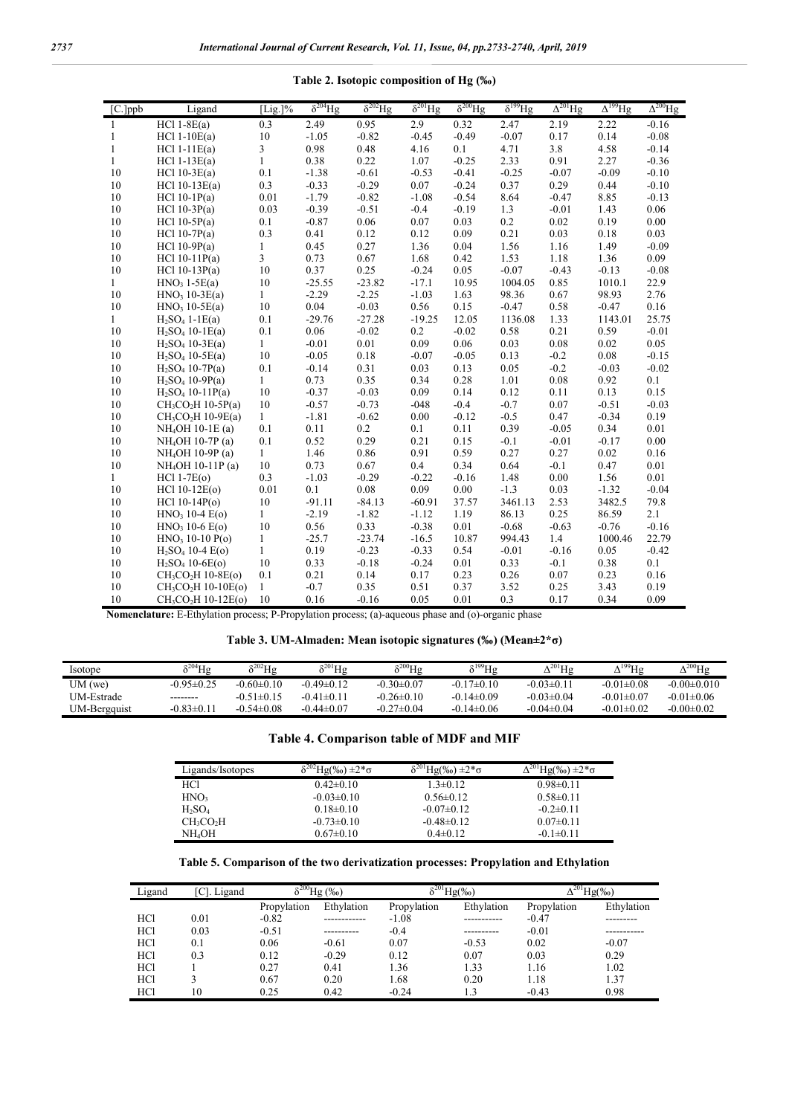| $[C.]$ ppb   | Ligand                                      | [Lig.]%      | $\delta^{204}$ Hg | $\delta^{202}$ Hg | $\delta^{201}$ Hg | $\delta^{200}$ Hg | $\delta^{199}$ Hg | $\Delta^{201}$ Hg | $\Delta^{199}$ Hg | $\Delta^{200}$ Hg |
|--------------|---------------------------------------------|--------------|-------------------|-------------------|-------------------|-------------------|-------------------|-------------------|-------------------|-------------------|
| $\mathbf{1}$ | $HC11-8E(a)$                                | 0.3          | 2.49              | 0.95              | 2.9               | 0.32              | 2.47              | 2.19              | 2.22              | $-0.16$           |
| 1            | $HC11-10E(a)$                               | 10           | $-1.05$           | $-0.82$           | $-0.45$           | $-0.49$           | $-0.07$           | 0.17              | 0.14              | $-0.08$           |
| $\mathbf{1}$ | $HC11-11E(a)$                               | 3            | 0.98              | 0.48              | 4.16              | 0.1               | 4.71              | 3.8               | 4.58              | $-0.14$           |
| $\mathbf{1}$ | $HC11-13E(a)$                               | 1            | 0.38              | 0.22              | 1.07              | $-0.25$           | 2.33              | 0.91              | 2.27              | $-0.36$           |
| 10           | $HC110-3E(a)$                               | 0.1          | $-1.38$           | $-0.61$           | $-0.53$           | $-0.41$           | $-0.25$           | $-0.07$           | $-0.09$           | $-0.10$           |
| 10           | HCl $10-13E(a)$                             | 0.3          | $-0.33$           | $-0.29$           | 0.07              | $-0.24$           | 0.37              | 0.29              | 0.44              | $-0.10$           |
| 10           | $HC110-1P(a)$                               | 0.01         | $-1.79$           | $-0.82$           | $-1.08$           | $-0.54$           | 8.64              | $-0.47$           | 8.85              | $-0.13$           |
| 10           | $HC1 10-3P(a)$                              | 0.03         | $-0.39$           | $-0.51$           | $-0.4$            | $-0.19$           | 1.3               | $-0.01$           | 1.43              | 0.06              |
| 10           | $HC110-5P(a)$                               | 0.1          | $-0.87$           | 0.06              | 0.07              | 0.03              | 0.2               | 0.02              | 0.19              | 0.00              |
| 10           | $HC110-7P(a)$                               | 0.3          | 0.41              | 0.12              | 0.12              | 0.09              | 0.21              | 0.03              | 0.18              | 0.03              |
| 10           | HCl $10-9P(a)$                              | $\mathbf{1}$ | 0.45              | 0.27              | 1.36              | 0.04              | 1.56              | 1.16              | 1.49              | $-0.09$           |
| 10           | $HC110-11P(a)$                              | 3            | 0.73              | 0.67              | 1.68              | 0.42              | 1.53              | 1.18              | 1.36              | 0.09              |
| 10           | HCl $10-13P(a)$                             | 10           | 0.37              | 0.25              | $-0.24$           | 0.05              | $-0.07$           | $-0.43$           | $-0.13$           | $-0.08$           |
| $\mathbf{1}$ | $HNO3 1-5E(a)$                              | 10           | $-25.55$          | $-23.82$          | $-17.1$           | 10.95             | 1004.05           | 0.85              | 1010.1            | 22.9              |
| 10           | $HNO3 10-3E(a)$                             | 1            | $-2.29$           | $-2.25$           | $-1.03$           | 1.63              | 98.36             | 0.67              | 98.93             | 2.76              |
| 10           | $HNO3 10-5E(a)$                             | 10           | 0.04              | $-0.03$           | 0.56              | 0.15              | $-0.47$           | 0.58              | $-0.47$           | 0.16              |
| $\mathbf{1}$ | $H2SO41-IE(a)$                              | 0.1          | $-29.76$          | $-27.28$          | $-19.25$          | 12.05             | 1136.08           | 1.33              | 1143.01           | 25.75             |
| 10           | $H_2SO_4$ 10-1 $E(a)$                       | 0.1          | 0.06              | $-0.02$           | 0.2               | $-0.02$           | 0.58              | 0.21              | 0.59              | $-0.01$           |
| 10           | $H_2SO_4$ 10-3E(a)                          | $\mathbf{1}$ | $-0.01$           | 0.01              | 0.09              | 0.06              | 0.03              | 0.08              | 0.02              | 0.05              |
| 10           | $H_2SO_4$ 10-5E(a)                          | 10           | $-0.05$           | 0.18              | $-0.07$           | $-0.05$           | 0.13              | $-0.2$            | 0.08              | $-0.15$           |
| 10           | $H_2SO_4$ 10-7P(a)                          | 0.1          | $-0.14$           | 0.31              | 0.03              | 0.13              | 0.05              | $-0.2$            | $-0.03$           | $-0.02$           |
| 10           | $H_2SO_4$ 10-9P(a)                          | $\mathbf{1}$ | 0.73              | 0.35              | 0.34              | 0.28              | 1.01              | 0.08              | 0.92              | 0.1               |
| 10           | $H_2SO_4$ 10-11P(a)                         | 10           | $-0.37$           | $-0.03$           | 0.09              | 0.14              | 0.12              | 0.11              | 0.13              | 0.15              |
| 10           | $CH_3CO2H$ 10-5P(a)                         | 10           | $-0.57$           | $-0.73$           | $-048$            | $-0.4$            | $-0.7$            | 0.07              | $-0.51$           | $-0.03$           |
| 10           | $CH3CO2H$ 10-9E(a)                          | $\mathbf{1}$ | $-1.81$           | $-0.62$           | 0.00              | $-0.12$           | $-0.5$            | 0.47              | $-0.34$           | 0.19              |
| 10           | NH <sub>4</sub> OH 10-1E (a)                | 0.1          | 0.11              | 0.2               | 0.1               | 0.11              | 0.39              | $-0.05$           | 0.34              | 0.01              |
| 10           | NH <sub>4</sub> OH 10-7P (a)                | 0.1          | 0.52              | 0.29              | 0.21              | 0.15              | $-0.1$            | $-0.01$           | $-0.17$           | 0.00              |
| 10           | $NH4OH$ 10-9P (a)                           | $\mathbf{1}$ | 1.46              | 0.86              | 0.91              | 0.59              | 0.27              | 0.27              | 0.02              | 0.16              |
| 10           | NH <sub>4</sub> OH 10-11P (a)               | 10           | 0.73              | 0.67              | 0.4               | 0.34              | 0.64              | $-0.1$            | 0.47              | 0.01              |
| $\mathbf{1}$ | $HC11-7E(o)$                                | 0.3          | $-1.03$           | $-0.29$           | $-0.22$           | $-0.16$           | 1.48              | 0.00              | 1.56              | 0.01              |
| 10           | $HC110-12E(o)$                              | 0.01         | 0.1               | 0.08              | 0.09              | 0.00              | $-1.3$            | 0.03              | $-1.32$           | $-0.04$           |
| 10           | HCl $10-14P(o)$                             | 10           | $-91.11$          | $-84.13$          | $-60.91$          | 37.57             | 3461.13           | 2.53              | 3482.5            | 79.8              |
| 10           | $HNO3 10-4 E(o)$                            | $\mathbf{1}$ | $-2.19$           | $-1.82$           | $-1.12$           | 1.19              | 86.13             | 0.25              | 86.59             | 2.1               |
| 10           | $HNO3 10-6 E(o)$                            | 10           | 0.56              | 0.33              | $-0.38$           | 0.01              | $-0.68$           | $-0.63$           | $-0.76$           | $-0.16$           |
| 10           | $HNO3 10-10 P(o)$                           | 1            | $-25.7$           | $-23.74$          | $-16.5$           | 10.87             | 994.43            | 1.4               | 1000.46           | 22.79             |
| 10           | $H_2SO_4$ 10-4 $E(o)$                       | $\mathbf{1}$ | 0.19              | $-0.23$           | $-0.33$           | 0.54              | $-0.01$           | $-0.16$           | 0.05              | $-0.42$           |
| 10           | $H_2SO_4$ 10-6E(o)                          | 10           | 0.33              | $-0.18$           | $-0.24$           | 0.01              | 0.33              | $-0.1$            | 0.38              | 0.1               |
| 10           | $CH_3CO2H$ 10-8E(o)                         | 0.1          | 0.21              | 0.14              | 0.17              | 0.23              | 0.26              | 0.07              | 0.23              | 0.16              |
| 10           | $CH_3CO_2H$ 10-10E(o)                       | $\mathbf{1}$ | $-0.7$            | 0.35              | 0.51              | 0.37              | 3.52              | 0.25              | 3.43              | 0.19              |
| 10           | CH <sub>3</sub> CO <sub>2</sub> H 10-12E(o) | 10           | 0.16              | $-0.16$           | 0.05              | 0.01              | 0.3               | 0.17              | 0.34              | 0.09              |

**Table 2. Isotopic composition of Hg (‰)**

**Nomenclature:** E-Ethylation process; P-Propylation process; (a)-aqueous phase and (o)-organic phase

| Isotope      | $\mathrm{e}^{204}$ Hg | $\mathrm{e}^{202}$ Hg | $\mathrm{Hg}$    | $\mathrm{P}^{200}\mathrm{Hg}$ | $S^{199}$ Hg     | $^{+201}$ Hg     | $^{+199}$ H <sub>2</sub> | $^{\prime\,200}$ Hg |
|--------------|-----------------------|-----------------------|------------------|-------------------------------|------------------|------------------|--------------------------|---------------------|
| UM (we)      | $-0.95\pm0.25$        | $-0.60 \pm 0.10$      | $-0.49\pm0.12$   | $-0.30 \pm 0.07$              | $-0.17\pm0.10$   | $-0.03\pm0.11$   | $-0.01 \pm 0.08$         | $-0.00 \pm 0.010$   |
| UM-Estrade   | --------              | $-0.51 \pm 0.15$      | -0.41±0.11       | $-0.26 \pm 0.10$              | $-0.14 \pm 0.09$ | $-0.03 \pm 0.04$ | $-0.01 \pm 0.07$         | $-0.01 \pm 0.06$    |
| UM-Bergquist | $-0.83 \pm 0.11$      | $-0.54 \pm 0.08$      | $-0.44 \pm 0.07$ | $-0.27\pm0.04$                | $-0.14 \pm 0.06$ | $-0.04\pm0.04$   | $-0.01 \pm 0.02$         | $-0.00 \pm 0.02$    |

| Table 4. Comparison table of MDF and MIF |  |  |  |
|------------------------------------------|--|--|--|
|------------------------------------------|--|--|--|

| Ligands/Isotopes | $(%0) \pm 2*$    | $He(\%0) \pm 2*\sigma$ | $-(\%_0)$ .<br>$\pm 2*\sigma$ |
|------------------|------------------|------------------------|-------------------------------|
| <b>HCl</b>       | $0.42\pm0.10$    | $1.3 \pm 0.12$         | $0.98 \pm 0.11$               |
| HNO <sub>3</sub> | $-0.03\pm0.10$   | $0.56 \pm 0.12$        | $0.58 \pm 0.11$               |
| $H_2SO_4$        | $0.18 \pm 0.10$  | $-0.07\pm0.12$         | $-0.2\pm0.11$                 |
| $CH_3CO2H$       | $-0.73 \pm 0.10$ | $-0.48 \pm 0.12$       | $0.07 \pm 0.11$               |
| NH4OH            | $0.67 \pm 0.10$  | $0.4\pm 0.12$          | $-0.1 \pm 0.11$               |

|  |  | Table 5. Comparison of the two derivatization processes: Propylation and Ethylation |  |
|--|--|-------------------------------------------------------------------------------------|--|
|  |  |                                                                                     |  |

| Ligand          | Ligand | $\delta^{200}$ Hg (‰) |            | $\sqrt[8]{201}Hg(\%0)$ |            | $\frac{1}{201}$ Hg(%0) |            |
|-----------------|--------|-----------------------|------------|------------------------|------------|------------------------|------------|
|                 |        | Propylation           | Ethylation | Propylation            | Ethylation | Propylation            | Ethylation |
| HC <sub>1</sub> | 0.01   | $-0.82$               | .          | $-1.08$                | --------   | $-0.47$                |            |
| HC <sub>1</sub> | 0.03   | $-0.51$               |            | $-0.4$                 | ---------  | $-0.01$                |            |
| HC <sub>1</sub> | 0.1    | 0.06                  | $-0.61$    | 0.07                   | $-0.53$    | 0.02                   | $-0.07$    |
| HC <sub>1</sub> | 0.3    | 0.12                  | $-0.29$    | 0.12                   | 0.07       | 0.03                   | 0.29       |
| HC <sub>1</sub> |        | 0.27                  | 0.41       | 1.36                   | 1.33       | 1.16                   | 1.02       |
| HC <sub>1</sub> |        | 0.67                  | 0.20       | 1.68                   | 0.20       | 1.18                   | 1.37       |
| HC1             | 10     | 0.25                  | 0.42       | $-0.24$                | 1.3        | $-0.43$                | 0.98       |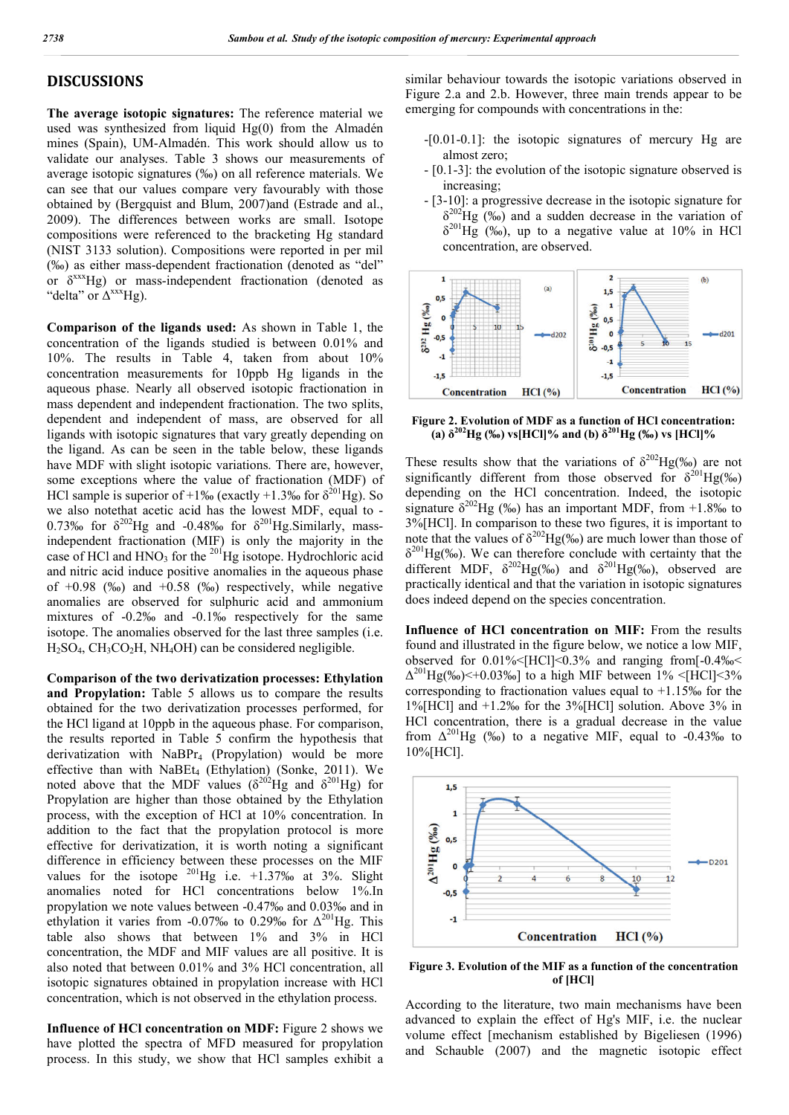### **DISCUSSIONS**

**The average isotopic signatures:** The reference material we used was synthesized from liquid  $Hg(0)$  from the Almadén mines (Spain), UM-Almadén. This work should allow us to validate our analyses. Table 3 shows our measurements of average isotopic signatures (‰) on all reference materials. We can see that our values compare very favourably with those obtained by (Bergquist and Blum, 2007)and (Estrade and al., 2009). The differences between works are small. Isotope compositions were referenced to the bracketing Hg standard (NIST 3133 solution). Compositions were reported in per mil (‰) as either mass-dependent fractionation (denoted as "del" or δxxxHg) or mass-independent fractionation (denoted as "delta" or  $\Delta$ <sup>xxx</sup>Hg).

**Comparison of the ligands used:** As shown in Table 1, the concentration of the ligands studied is between 0.01% and 10%. The results in Table 4, taken from about 10% concentration measurements for 10ppb Hg ligands in the aqueous phase. Nearly all observed isotopic fractionation in mass dependent and independent fractionation. The two splits, dependent and independent of mass, are observed for all ligands with isotopic signatures that vary greatly depending on the ligand. As can be seen in the table below, these ligands have MDF with slight isotopic variations. There are, however, some exceptions where the value of fractionation (MDF) of HCl sample is superior of +1‰ (exactly +1.3‰ for  $\delta^{201}$ Hg). So we also notethat acetic acid has the lowest MDF, equal to - 0.73‰ for  $\delta^{202}$ Hg and -0.48‰ for  $\delta^{201}$ Hg.Similarly, massindependent fractionation (MIF) is only the majority in the case of HCl and  $HNO<sub>3</sub>$  for the <sup>201</sup>Hg isotope. Hydrochloric acid and nitric acid induce positive anomalies in the aqueous phase of  $+0.98$  (‰) and  $+0.58$  (‰) respectively, while negative anomalies are observed for sulphuric acid and ammonium mixtures of -0.2‰ and -0.1‰ respectively for the same isotope. The anomalies observed for the last three samples (i.e.  $H_2SO_4$ , CH<sub>3</sub>CO<sub>2</sub>H, NH<sub>4</sub>OH) can be considered negligible.

**Comparison of the two derivatization processes: Ethylation and Propylation:** Table 5 allows us to compare the results obtained for the two derivatization processes performed, for the HCl ligand at 10ppb in the aqueous phase. For comparison, the results reported in Table 5 confirm the hypothesis that derivatization with  $NABPr_4$  (Propylation) would be more effective than with  $NABEt_4$  (Ethylation) (Sonke, 2011). We noted above that the MDF values ( $\delta^{202}$ Hg and  $\delta^{201}$ Hg) for Propylation are higher than those obtained by the Ethylation process, with the exception of HCl at 10% concentration. In addition to the fact that the propylation protocol is more effective for derivatization, it is worth noting a significant difference in efficiency between these processes on the MIF values for the isotope  $^{201}$ Hg i.e.  $+1.37\%$  at 3%. Slight anomalies noted for HCl concentrations below 1%.In propylation we note values between -0.47‰ and 0.03‰ and in ethylation it varies from -0.07‰ to 0.29‰ for  $\Delta^{201}$ Hg. This table also shows that between 1% and 3% in HCl concentration, the MDF and MIF values are all positive. It is also noted that between 0.01% and 3% HCl concentration, all isotopic signatures obtained in propylation increase with HCl concentration, which is not observed in the ethylation process.

**Influence of HCl concentration on MDF:** Figure 2 shows we have plotted the spectra of MFD measured for propylation process. In this study, we show that HCl samples exhibit a

similar behaviour towards the isotopic variations observed in Figure 2.a and 2.b. However, three main trends appear to be emerging for compounds with concentrations in the:

- -[0.01-0.1]: the isotopic signatures of mercury Hg are almost zero;
- [0.1-3]: the evolution of the isotopic signature observed is increasing;
- [3-10]: a progressive decrease in the isotopic signature for  $\delta^{202}$ Hg (‰) and a sudden decrease in the variation of  $\delta^{201}$ Hg (‰), up to a negative value at 10% in HCl concentration, are observed.



**Figure 2. Evolution of MDF as a function of HCl concentration: (a)**  $\delta^{202}$ Hg (‰) vs[HCl]% and (b)  $\delta^{201}$ Hg (‰) vs [HCl]%

These results show that the variations of  $\delta^{202}Hg(\%)$  are not significantly different from those observed for  $\delta^{201}Hg(\%_0)$ depending on the HCl concentration. Indeed, the isotopic signature  $\delta^{202}$ Hg (‰) has an important MDF, from +1.8‰ to 3%[HCl]. In comparison to these two figures, it is important to note that the values of  $\delta^{202}$ Hg(‰) are much lower than those of  $\delta^{201}$ Hg(‰). We can therefore conclude with certainty that the different MDF,  $\delta^{202}Hg(\%)$  and  $\delta^{201}Hg(\%)$ , observed are practically identical and that the variation in isotopic signatures does indeed depend on the species concentration.

**Influence of HCl concentration on MIF:** From the results found and illustrated in the figure below, we notice a low MIF, observed for  $0.01\%$ <[HCl]<0.3% and ranging from[-0.4‰<  $\Delta^{201}$ Hg(‰)<+0.03‰] to a high MIF between 1% <[HCl]<3% corresponding to fractionation values equal to +1.15‰ for the 1%[HCl] and +1.2‰ for the 3%[HCl] solution. Above 3% in HCl concentration, there is a gradual decrease in the value from  $\Delta^{201}$ Hg (‰) to a negative MIF, equal to -0.43‰ to 10%[HCl].



**Figure 3. Evolution of the MIF as a function of the concentration of [HCl]**

According to the literature, two main mechanisms have been advanced to explain the effect of Hg's MIF, i.e. the nuclear volume effect [mechanism established by Bigeliesen (1996) and Schauble (2007) and the magnetic isotopic effect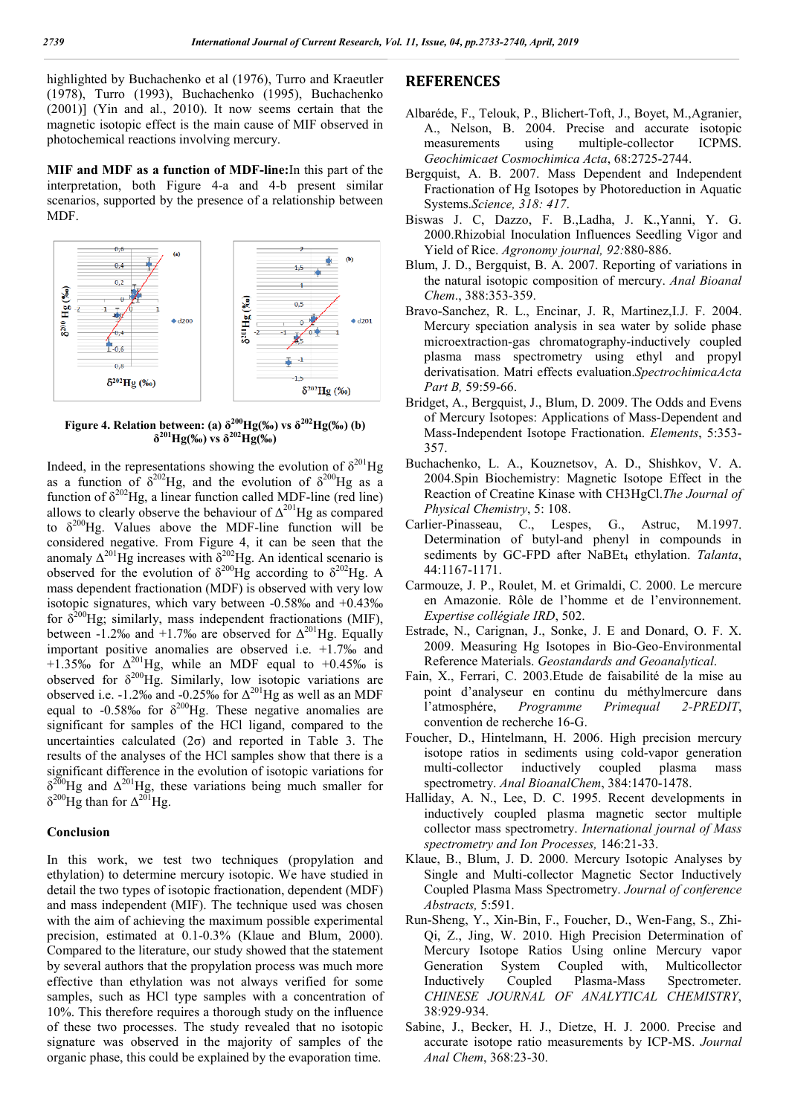highlighted by Buchachenko et al (1976), Turro and Kraeutler (1978), Turro (1993), Buchachenko (1995), Buchachenko (2001)] (Yin and al., 2010). It now seems certain that the magnetic isotopic effect is the main cause of MIF observed in photochemical reactions involving mercury.

**MIF and MDF as a function of MDF-line:**In this part of the interpretation, both Figure 4-a and 4-b present similar scenarios, supported by the presence of a relationship between MDF.



**Figure 4. Relation between:** (a)  $\delta^{200}Hg(\%)$  vs  $\delta^{202}Hg(\%)$  (b)  $\delta^{201}$ Hg(‰) vs  $\delta^{202}$ Hg(‰)

Indeed, in the representations showing the evolution of  $\delta^{201}$ Hg as a function of  $\delta^{202}$ Hg, and the evolution of  $\delta^{200}$ Hg as a function of  $\delta^{202}$ Hg, a linear function called MDF-line (red line) allows to clearly observe the behaviour of  $\Delta^{201}$ Hg as compared to  $\delta^{200}$ Hg. Values above the MDF-line function will be considered negative. From Figure 4, it can be seen that the anomaly  $\Delta^{201}$ Hg increases with  $\delta^{202}$ Hg. An identical scenario is observed for the evolution of  $\delta^{200}$ Hg according to  $\delta^{202}$ Hg. A mass dependent fractionation (MDF) is observed with very low isotopic signatures, which vary between -0.58‰ and +0.43‰ for  $\delta^{200}$ Hg; similarly, mass independent fractionations (MIF), between -1.2‰ and +1.7‰ are observed for  $\Delta^{201}$ Hg. Equally important positive anomalies are observed i.e. +1.7‰ and +1.35‰ for  $\Delta^{201}$ Hg, while an MDF equal to +0.45‰ is observed for  $\delta^{200}$ Hg. Similarly, low isotopic variations are observed i.e. -1.2‰ and -0.25‰ for  $\Delta^{201}$ Hg as well as an MDF equal to -0.58‰ for  $\delta^{200}$ Hg. These negative anomalies are significant for samples of the HCl ligand, compared to the uncertainties calculated  $(2\sigma)$  and reported in Table 3. The results of the analyses of the HCl samples show that there is a significant difference in the evolution of isotopic variations for  $\delta^{200}$ Hg and  $\Delta^{201}$ Hg, these variations being much smaller for  $δ^{200}$ Hg than for  $Δ^{201}$ Hg.

#### **Conclusion**

In this work, we test two techniques (propylation and ethylation) to determine mercury isotopic. We have studied in detail the two types of isotopic fractionation, dependent (MDF) and mass independent (MIF). The technique used was chosen with the aim of achieving the maximum possible experimental precision, estimated at 0.1-0.3% (Klaue and Blum, 2000). Compared to the literature, our study showed that the statement by several authors that the propylation process was much more effective than ethylation was not always verified for some samples, such as HCl type samples with a concentration of 10%. This therefore requires a thorough study on the influence of these two processes. The study revealed that no isotopic signature was observed in the majority of samples of the organic phase, this could be explained by the evaporation time.

#### **REFERENCES**

- Albaréde, F., Telouk, P., Blichert-Toft, J., Boyet, M.,Agranier, A., Nelson, B. 2004. Precise and accurate isotopic measurements using multiple-collector ICPMS. *Geochimicaet Cosmochimica Acta*, 68:2725-2744.
- Bergquist, A. B. 2007. Mass Dependent and Independent Fractionation of Hg Isotopes by Photoreduction in Aquatic Systems.*Science, 318: 417*.
- Biswas J. C, Dazzo, F. B.,Ladha, J. K.,Yanni, Y. G. 2000.Rhizobial Inoculation Influences Seedling Vigor and Yield of Rice. *Agronomy journal, 92:*880-886.
- Blum, J. D., Bergquist, B. A. 2007. Reporting of variations in the natural isotopic composition of mercury. *Anal Bioanal Chem*., 388:353-359.
- Bravo-Sanchez, R. L., Encinar, J. R, Martinez,I.J. F. 2004. Mercury speciation analysis in sea water by solide phase microextraction-gas chromatography-inductively coupled plasma mass spectrometry using ethyl and propyl derivatisation. Matri effects evaluation.*SpectrochimicaActa Part B,* 59:59-66.
- Bridget, A., Bergquist, J., Blum, D. 2009. The Odds and Evens of Mercury Isotopes: Applications of Mass-Dependent and Mass-Independent Isotope Fractionation. *Elements*, 5:353- 357.
- Buchachenko, L. A., Kouznetsov, A. D., Shishkov, V. A. 2004.Spin Biochemistry: Magnetic Isotope Effect in the Reaction of Creatine Kinase with CH3HgCl.*The Journal of Physical Chemistry*, 5: 108.
- Carlier-Pinasseau, C., Lespes, G., Astruc, M.1997. Determination of butyl-and phenyl in compounds in sediments by GC-FPD after NaBEt<sub>4</sub> ethylation. *Talanta*, 44:1167-1171.
- Carmouze, J. P., Roulet, M. et Grimaldi, C. 2000. Le mercure en Amazonie. Rôle de l'homme et de l'environnement. *Expertise collégiale IRD*, 502.
- Estrade, N., Carignan, J., Sonke, J. E and Donard, O. F. X. 2009. Measuring Hg Isotopes in Bio-Geo-Environmental Reference Materials. *Geostandards and Geoanalytical*.
- Fain, X., Ferrari, C. 2003.Etude de faisabilité de la mise au point d'analyseur en continu du méthylmercure dans l'atmosphére, *Programme Primequal 2-PREDIT*, convention de recherche 16-G.
- Foucher, D., Hintelmann, H. 2006. High precision mercury isotope ratios in sediments using cold-vapor generation multi-collector inductively coupled plasma mass spectrometry. *Anal BioanalChem*, 384:1470-1478.
- Halliday, A. N., Lee, D. C. 1995. Recent developments in inductively coupled plasma magnetic sector multiple collector mass spectrometry. *International journal of Mass spectrometry and Ion Processes,* 146:21-33.
- Klaue, B., Blum, J. D. 2000. Mercury Isotopic Analyses by Single and Multi-collector Magnetic Sector Inductively Coupled Plasma Mass Spectrometry. *Journal of conference Abstracts,* 5:591.
- Run-Sheng, Y., Xin-Bin, F., Foucher, D., Wen-Fang, S., Zhi-Qi, Z., Jing, W. 2010. High Precision Determination of Mercury Isotope Ratios Using online Mercury vapor Generation System Coupled with, Multicollector Inductively Coupled Plasma-Mass Spectrometer. *CHINESE JOURNAL OF ANALYTICAL CHEMISTRY*, 38:929-934.
- Sabine, J., Becker, H. J., Dietze, H. J. 2000. Precise and accurate isotope ratio measurements by ICP-MS. *Journal Anal Chem*, 368:23-30.